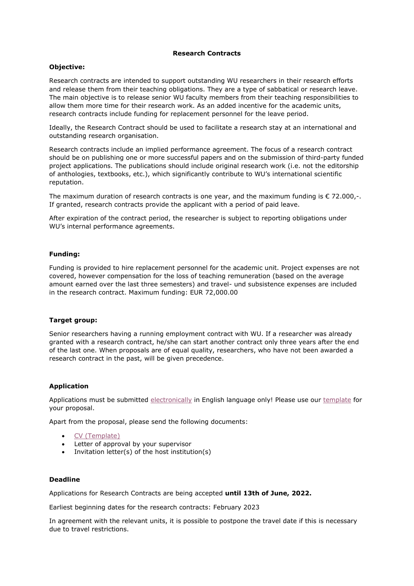### **Research Contracts**

### **Objective:**

Research contracts are intended to support outstanding WU researchers in their research efforts and release them from their teaching obligations. They are a type of sabbatical or research leave. The main objective is to release senior WU faculty members from their teaching responsibilities to allow them more time for their research work. As an added incentive for the academic units, research contracts include funding for replacement personnel for the leave period.

Ideally, the Research Contract should be used to facilitate a research stay at an international and outstanding research organisation.

Research contracts include an implied performance agreement. The focus of a research contract should be on publishing one or more successful papers and on the submission of third-party funded project applications. The publications should include original research work (i.e. not the editorship of anthologies, textbooks, etc.), which significantly contribute to WU's international scientific reputation.

The maximum duration of research contracts is one year, and the maximum funding is  $\epsilon$  72.000,-. If granted, research contracts provide the applicant with a period of paid leave.

After expiration of the contract period, the researcher is subject to reporting obligations under WU's internal performance agreements.

### **Funding:**

Funding is provided to hire replacement personnel for the academic unit. Project expenses are not covered, however compensation for the loss of teaching remuneration (based on the average amount earned over the last three semesters) and travel- und subsistence expenses are included in the research contract. Maximum funding: EUR 72,000.00

### **Target group:**

Senior researchers having a running employment contract with WU. If a researcher was already granted with a research contract, he/she can start another contract only three years after the end of the last one. When proposals are of equal quality, researchers, who have not been awarded a research contract in the past, will be given precedence.

### **Application**

Applications must be submitted [electronically](https://www.wu.ac.at/index.php?id=45908) in English language only! Please use our [template](https://www.wu.ac.at/fileadmin/wu/h/research/template_forschungsvertrag_senior.docx) for your proposal.

Apart from the proposal, please send the following documents:

- [CV \(Template\)](https://www.wu.ac.at/fileadmin/wu/h/research/FovertragCVtemplate.docx)
- Letter of approval by your supervisor
- Invitation letter(s) of the host institution(s)

#### **Deadline**

Applications for Research Contracts are being accepted **until 13th of June, 2022.**

Earliest beginning dates for the research contracts: February 2023

In agreement with the relevant units, it is possible to postpone the travel date if this is necessary due to travel restrictions.